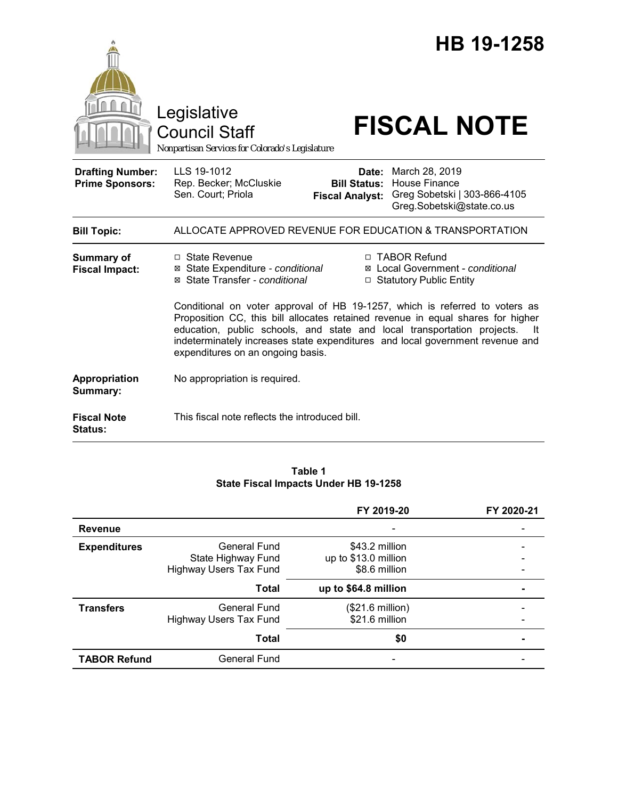|                                                   | Legislative<br><b>Council Staff</b><br>Nonpartisan Services for Colorado's Legislature                                                                                                                                                                                                                                                                                 |                                 | HB 19-1258<br><b>FISCAL NOTE</b>                                                                                 |
|---------------------------------------------------|------------------------------------------------------------------------------------------------------------------------------------------------------------------------------------------------------------------------------------------------------------------------------------------------------------------------------------------------------------------------|---------------------------------|------------------------------------------------------------------------------------------------------------------|
| <b>Drafting Number:</b><br><b>Prime Sponsors:</b> | LLS 19-1012<br>Rep. Becker; McCluskie<br>Sen. Court; Priola                                                                                                                                                                                                                                                                                                            | Date:<br><b>Fiscal Analyst:</b> | March 28, 2019<br><b>Bill Status: House Finance</b><br>Greg Sobetski   303-866-4105<br>Greg.Sobetski@state.co.us |
| <b>Bill Topic:</b>                                |                                                                                                                                                                                                                                                                                                                                                                        |                                 | ALLOCATE APPROVED REVENUE FOR EDUCATION & TRANSPORTATION                                                         |
| <b>Summary of</b><br><b>Fiscal Impact:</b>        | □ State Revenue<br>⊠ State Expenditure - conditional<br>⊠ State Transfer - conditional                                                                                                                                                                                                                                                                                 |                                 | □ TABOR Refund<br>⊠ Local Government - conditional<br>□ Statutory Public Entity                                  |
|                                                   | Conditional on voter approval of HB 19-1257, which is referred to voters as<br>Proposition CC, this bill allocates retained revenue in equal shares for higher<br>education, public schools, and state and local transportation projects.<br>-lt<br>indeterminately increases state expenditures and local government revenue and<br>expenditures on an ongoing basis. |                                 |                                                                                                                  |
| Appropriation<br>Summary:                         | No appropriation is required.                                                                                                                                                                                                                                                                                                                                          |                                 |                                                                                                                  |
| <b>Fiscal Note</b><br>Status:                     | This fiscal note reflects the introduced bill.                                                                                                                                                                                                                                                                                                                         |                                 |                                                                                                                  |

### **Table 1 State Fiscal Impacts Under HB 19-1258**

|                     |                                                                            | FY 2019-20                                              | FY 2020-21 |
|---------------------|----------------------------------------------------------------------------|---------------------------------------------------------|------------|
| <b>Revenue</b>      |                                                                            |                                                         |            |
| <b>Expenditures</b> | <b>General Fund</b><br>State Highway Fund<br><b>Highway Users Tax Fund</b> | \$43.2 million<br>up to \$13.0 million<br>\$8.6 million |            |
|                     | <b>Total</b>                                                               | up to \$64.8 million                                    |            |
| <b>Transfers</b>    | <b>General Fund</b><br><b>Highway Users Tax Fund</b>                       | (\$21.6 million)<br>\$21.6 million                      |            |
|                     | <b>Total</b>                                                               | \$0                                                     |            |
| <b>TABOR Refund</b> | <b>General Fund</b>                                                        |                                                         |            |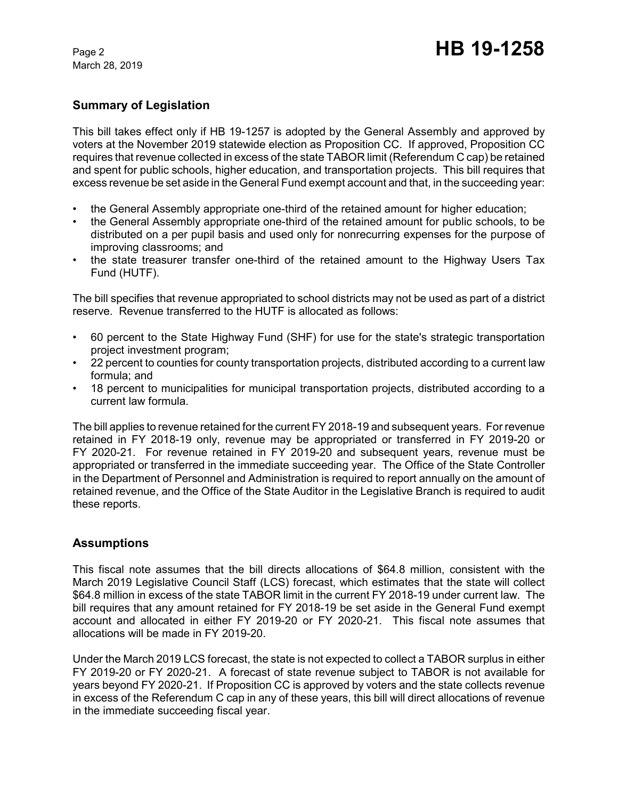March 28, 2019

# **Summary of Legislation**

This bill takes effect only if HB 19-1257 is adopted by the General Assembly and approved by voters at the November 2019 statewide election as Proposition CC. If approved, Proposition CC requires that revenue collected in excess of the state TABOR limit (Referendum C cap) be retained and spent for public schools, higher education, and transportation projects. This bill requires that excess revenue be set aside in the General Fund exempt account and that, in the succeeding year:

- the General Assembly appropriate one-third of the retained amount for higher education;
- the General Assembly appropriate one-third of the retained amount for public schools, to be distributed on a per pupil basis and used only for nonrecurring expenses for the purpose of improving classrooms; and
- the state treasurer transfer one-third of the retained amount to the Highway Users Tax Fund (HUTF).

The bill specifies that revenue appropriated to school districts may not be used as part of a district reserve. Revenue transferred to the HUTF is allocated as follows:

- 60 percent to the State Highway Fund (SHF) for use for the state's strategic transportation project investment program;
- 22 percent to counties for county transportation projects, distributed according to a current law formula; and
- 18 percent to municipalities for municipal transportation projects, distributed according to a current law formula.

The bill applies to revenue retained for the current FY 2018-19 and subsequent years. For revenue retained in FY 2018-19 only, revenue may be appropriated or transferred in FY 2019-20 or FY 2020-21. For revenue retained in FY 2019-20 and subsequent years, revenue must be appropriated or transferred in the immediate succeeding year. The Office of the State Controller in the Department of Personnel and Administration is required to report annually on the amount of retained revenue, and the Office of the State Auditor in the Legislative Branch is required to audit these reports.

## **Assumptions**

This fiscal note assumes that the bill directs allocations of \$64.8 million, consistent with the March 2019 Legislative Council Staff (LCS) forecast, which estimates that the state will collect \$64.8 million in excess of the state TABOR limit in the current FY 2018-19 under current law. The bill requires that any amount retained for FY 2018-19 be set aside in the General Fund exempt account and allocated in either FY 2019-20 or FY 2020-21. This fiscal note assumes that allocations will be made in FY 2019-20.

Under the March 2019 LCS forecast, the state is not expected to collect a TABOR surplus in either FY 2019-20 or FY 2020-21. A forecast of state revenue subject to TABOR is not available for years beyond FY 2020-21. If Proposition CC is approved by voters and the state collects revenue in excess of the Referendum C cap in any of these years, this bill will direct allocations of revenue in the immediate succeeding fiscal year.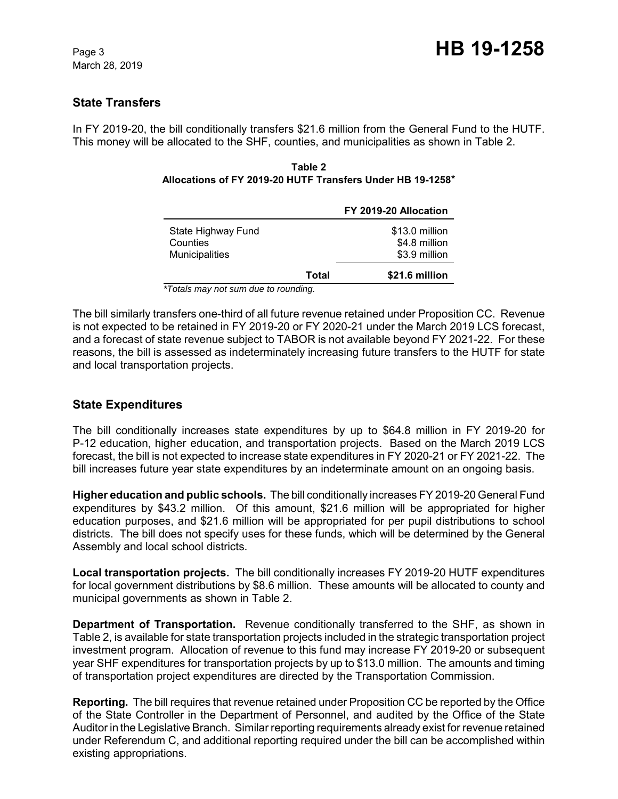# **State Transfers**

In FY 2019-20, the bill conditionally transfers \$21.6 million from the General Fund to the HUTF. This money will be allocated to the SHF, counties, and municipalities as shown in Table 2.

#### **Table 2 Allocations of FY 2019-20 HUTF Transfers Under HB 19-1258**\*

|                                                         |       | FY 2019-20 Allocation                            |
|---------------------------------------------------------|-------|--------------------------------------------------|
| State Highway Fund<br>Counties<br><b>Municipalities</b> |       | \$13.0 million<br>\$4.8 million<br>\$3.9 million |
|                                                         | Total | \$21.6 million                                   |

*\*Totals may not sum due to rounding.*

The bill similarly transfers one-third of all future revenue retained under Proposition CC. Revenue is not expected to be retained in FY 2019-20 or FY 2020-21 under the March 2019 LCS forecast, and a forecast of state revenue subject to TABOR is not available beyond FY 2021-22. For these reasons, the bill is assessed as indeterminately increasing future transfers to the HUTF for state and local transportation projects.

# **State Expenditures**

The bill conditionally increases state expenditures by up to \$64.8 million in FY 2019-20 for P-12 education, higher education, and transportation projects. Based on the March 2019 LCS forecast, the bill is not expected to increase state expenditures in FY 2020-21 or FY 2021-22. The bill increases future year state expenditures by an indeterminate amount on an ongoing basis.

**Higher education and public schools.** The bill conditionally increases FY 2019-20 General Fund expenditures by \$43.2 million. Of this amount, \$21.6 million will be appropriated for higher education purposes, and \$21.6 million will be appropriated for per pupil distributions to school districts. The bill does not specify uses for these funds, which will be determined by the General Assembly and local school districts.

**Local transportation projects.** The bill conditionally increases FY 2019-20 HUTF expenditures for local government distributions by \$8.6 million. These amounts will be allocated to county and municipal governments as shown in Table 2.

**Department of Transportation.** Revenue conditionally transferred to the SHF, as shown in Table 2, is available for state transportation projects included in the strategic transportation project investment program. Allocation of revenue to this fund may increase FY 2019-20 or subsequent year SHF expenditures for transportation projects by up to \$13.0 million. The amounts and timing of transportation project expenditures are directed by the Transportation Commission.

**Reporting.** The bill requires that revenue retained under Proposition CC be reported by the Office of the State Controller in the Department of Personnel, and audited by the Office of the State Auditor in the Legislative Branch. Similar reporting requirements already exist for revenue retained under Referendum C, and additional reporting required under the bill can be accomplished within existing appropriations.